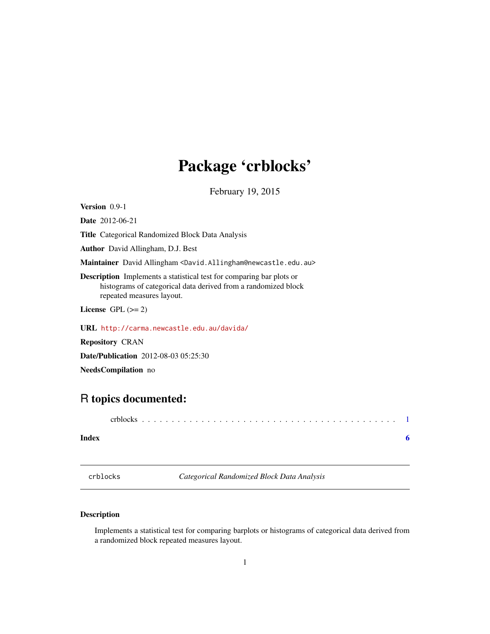## <span id="page-0-0"></span>Package 'crblocks'

February 19, 2015

Version 0.9-1

Date 2012-06-21

Title Categorical Randomized Block Data Analysis

Author David Allingham, D.J. Best

Maintainer David Allingham <David.Allingham@newcastle.edu.au>

Description Implements a statistical test for comparing bar plots or histograms of categorical data derived from a randomized block repeated measures layout.

License GPL  $(>= 2)$ 

URL <http://carma.newcastle.edu.au/davida/>

Repository CRAN

Date/Publication 2012-08-03 05:25:30

NeedsCompilation no

### R topics documented:

crblocks . . . . . . . . . . . . . . . . . . . . . . . . . . . . . . . . . . . . . . . . . . . [1](#page-0-0)

#### **Index** [6](#page-5-0) **6**

crblocks *Categorical Randomized Block Data Analysis*

#### Description

Implements a statistical test for comparing barplots or histograms of categorical data derived from a randomized block repeated measures layout.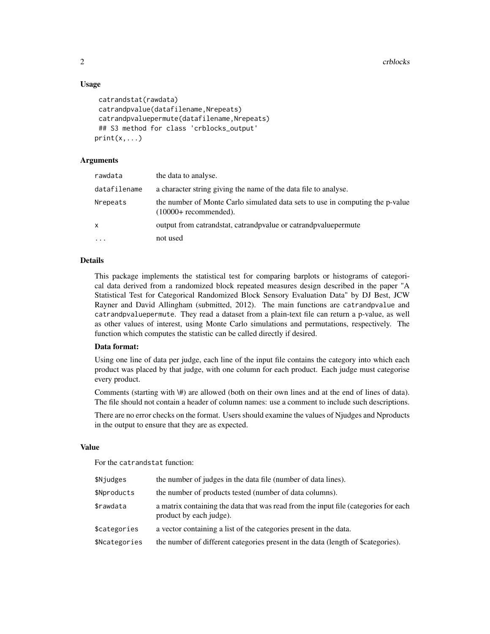2 crblocks and the contract of the contract of the contract of the crblocks of the crblocks of the crblocks of the contract of the contract of the contract of the contract of the contract of the contract of the contract of

#### Usage

```
catrandstat(rawdata)
catrandpvalue(datafilename,Nrepeats)
catrandpvaluepermute(datafilename,Nrepeats)
## S3 method for class 'crblocks_output'
print(x, \ldots)
```
#### Arguments

| a character string giving the name of the data file to analyse.<br>the number of Monte Carlo simulated data sets to use in computing the p-value<br>$(10000 +$ recommended).<br>output from catrandstat, catrandpoalue or catrandpoalue permute<br>not used | rawdata      | the data to analyse. |
|-------------------------------------------------------------------------------------------------------------------------------------------------------------------------------------------------------------------------------------------------------------|--------------|----------------------|
|                                                                                                                                                                                                                                                             | datafilename |                      |
|                                                                                                                                                                                                                                                             | Nrepeats     |                      |
|                                                                                                                                                                                                                                                             | x            |                      |
|                                                                                                                                                                                                                                                             | $\cdots$     |                      |

#### Details

This package implements the statistical test for comparing barplots or histograms of categorical data derived from a randomized block repeated measures design described in the paper "A Statistical Test for Categorical Randomized Block Sensory Evaluation Data" by DJ Best, JCW Rayner and David Allingham (submitted, 2012). The main functions are catrandpvalue and catrandpvaluepermute. They read a dataset from a plain-text file can return a p-value, as well as other values of interest, using Monte Carlo simulations and permutations, respectively. The function which computes the statistic can be called directly if desired.

#### Data format:

Using one line of data per judge, each line of the input file contains the category into which each product was placed by that judge, with one column for each product. Each judge must categorise every product.

Comments (starting with \#) are allowed (both on their own lines and at the end of lines of data). The file should not contain a header of column names: use a comment to include such descriptions.

There are no error checks on the format. Users should examine the values of Njudges and Nproducts in the output to ensure that they are as expected.

#### Value

For the catrandstat function:

| \$Njudges     | the number of judges in the data file (number of data lines).                                                  |
|---------------|----------------------------------------------------------------------------------------------------------------|
| \$Nproducts   | the number of products tested (number of data columns).                                                        |
| \$rawdata     | a matrix containing the data that was read from the input file (categories for each<br>product by each judge). |
| \$categories  | a vector containing a list of the categories present in the data.                                              |
| \$Ncategories | the number of different categories present in the data (length of \$categories).                               |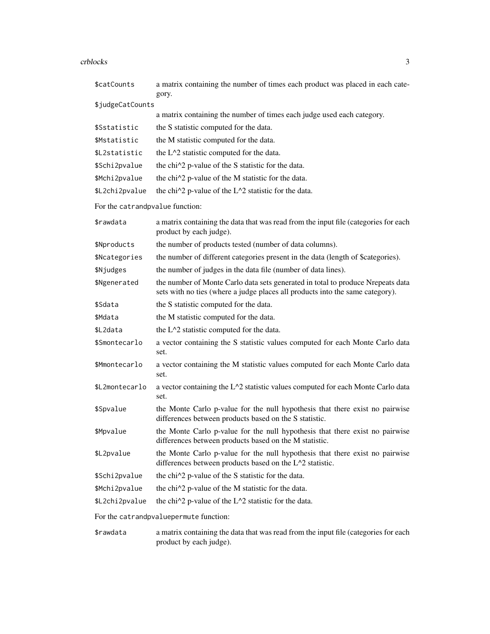#### crblocks 3

| \$catCounts                            | a matrix containing the number of times each product was placed in each cate-<br>gory.                                                                           |  |
|----------------------------------------|------------------------------------------------------------------------------------------------------------------------------------------------------------------|--|
| \$judgeCatCounts                       |                                                                                                                                                                  |  |
|                                        | a matrix containing the number of times each judge used each category.                                                                                           |  |
| \$Sstatistic                           | the S statistic computed for the data.                                                                                                                           |  |
| \$Mstatistic                           | the M statistic computed for the data.                                                                                                                           |  |
| \$L2statistic                          | the L <sup><math>\lambda</math></sup> 2 statistic computed for the data.                                                                                         |  |
| \$Schi2pvalue                          | the chi <sup><math>\wedge</math>2</sup> p-value of the S statistic for the data.                                                                                 |  |
| \$Mchi2pvalue                          | the chi <sup><math>\wedge</math>2</sup> p-value of the M statistic for the data.                                                                                 |  |
| \$L2chi2pvalue                         | the chi^2 p-value of the L^2 statistic for the data.                                                                                                             |  |
| For the catrandpvalue function:        |                                                                                                                                                                  |  |
| \$rawdata                              | a matrix containing the data that was read from the input file (categories for each<br>product by each judge).                                                   |  |
| \$Nproducts                            | the number of products tested (number of data columns).                                                                                                          |  |
| \$Ncategories                          | the number of different categories present in the data (length of \$categories).                                                                                 |  |
| \$Njudges                              | the number of judges in the data file (number of data lines).                                                                                                    |  |
| \$Ngenerated                           | the number of Monte Carlo data sets generated in total to produce Nrepeats data<br>sets with no ties (where a judge places all products into the same category). |  |
| \$Sdata                                | the S statistic computed for the data.                                                                                                                           |  |
| \$Mdata                                | the M statistic computed for the data.                                                                                                                           |  |
| \$L2data                               | the L <sup><math>\lambda</math></sup> 2 statistic computed for the data.                                                                                         |  |
| \$Smontecarlo                          | a vector containing the S statistic values computed for each Monte Carlo data<br>set.                                                                            |  |
| \$Mmontecarlo                          | a vector containing the M statistic values computed for each Monte Carlo data<br>set.                                                                            |  |
| \$L2montecarlo                         | a vector containing the L^2 statistic values computed for each Monte Carlo data<br>set.                                                                          |  |
| \$Spvalue                              | the Monte Carlo p-value for the null hypothesis that there exist no pairwise<br>differences between products based on the S statistic.                           |  |
| \$Mpvalue                              | the Monte Carlo p-value for the null hypothesis that there exist no pairwise<br>differences between products based on the M statistic.                           |  |
| \$L2pvalue                             | the Monte Carlo p-value for the null hypothesis that there exist no pairwise<br>differences between products based on the L^2 statistic.                         |  |
| \$Schi2pvalue                          | the chi <sup><math>\wedge</math>2</sup> p-value of the S statistic for the data.                                                                                 |  |
| \$Mchi2pvalue                          | the chi <sup><math>\wedge</math>2</sup> p-value of the M statistic for the data.                                                                                 |  |
| \$L2chi2pvalue                         | the chi $\frac{1}{2}$ p-value of the L $\frac{1}{2}$ statistic for the data.                                                                                     |  |
| For the catrandpvaluepermute function: |                                                                                                                                                                  |  |
|                                        |                                                                                                                                                                  |  |

\$rawdata a matrix containing the data that was read from the input file (categories for each product by each judge).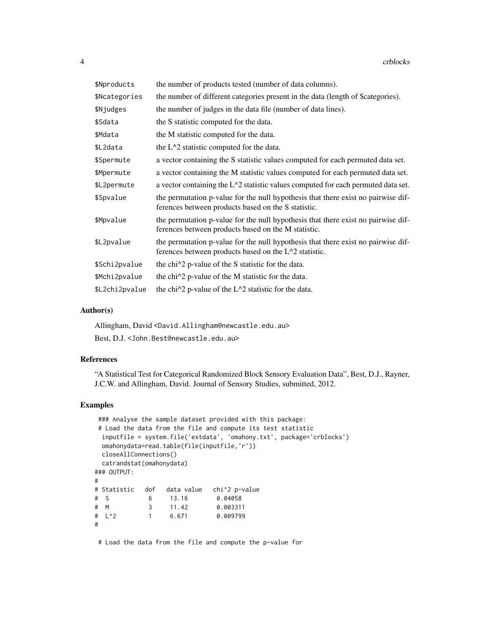| \$Nproducts    | the number of products tested (number of data columns).                                                                                    |
|----------------|--------------------------------------------------------------------------------------------------------------------------------------------|
| \$Ncategories  | the number of different categories present in the data (length of \$categories).                                                           |
| \$Njudges      | the number of judges in the data file (number of data lines).                                                                              |
| \$Sdata        | the S statistic computed for the data.                                                                                                     |
| \$Mdata        | the M statistic computed for the data.                                                                                                     |
| \$L2data       | the $L^2$ statistic computed for the data.                                                                                                 |
| \$Spermute     | a vector containing the S statistic values computed for each permuted data set.                                                            |
| \$Mpermute     | a vector containing the M statistic values computed for each permuted data set.                                                            |
| \$L2permute    | a vector containing the $L^2$ statistic values computed for each permuted data set.                                                        |
| \$Spvalue      | the permutation p-value for the null hypothesis that there exist no pairwise dif-<br>ferences between products based on the S statistic.   |
| \$Mpvalue      | the permutation p-value for the null hypothesis that there exist no pairwise dif-<br>ferences between products based on the M statistic.   |
| \$L2pvalue     | the permutation p-value for the null hypothesis that there exist no pairwise dif-<br>ferences between products based on the L^2 statistic. |
| \$Schi2pvalue  | the chi <sup><math>\wedge</math>2</sup> p-value of the S statistic for the data.                                                           |
| \$Mchi2pvalue  | the chi <sup><math>\lambda</math></sup> p-value of the M statistic for the data.                                                           |
| \$L2chi2pvalue | the chi $\frac{1}{2}$ p-value of the L $\frac{1}{2}$ statistic for the data.                                                               |

#### Author(s)

Allingham, David <David.Allingham@newcastle.edu.au> Best, D.J. <John.Best@newcastle.edu.au>

#### References

"A Statistical Test for Categorical Randomized Block Sensory Evaluation Data", Best, D.J., Rayner, J.C.W. and Allingham, David. Journal of Sensory Studies, submitted, 2012.

#### Examples

```
### Analyse the sample dataset provided with this package:
# Load the data from the file and compute its test statistic
 inputfile = system.file('extdata', 'omahony.txt', package='crblocks')
 omahonydata=read.table(file(inputfile,'r'))
 closeAllConnections()
 catrandstat(omahonydata)
### OUTPUT:
#
# Statistic dof data value chi^2 p-value
# S 6 13.16
# M 3 11.42 0.003311
# L^2 1 6.671 0.009799
#
```
# Load the data from the file and compute the p-value for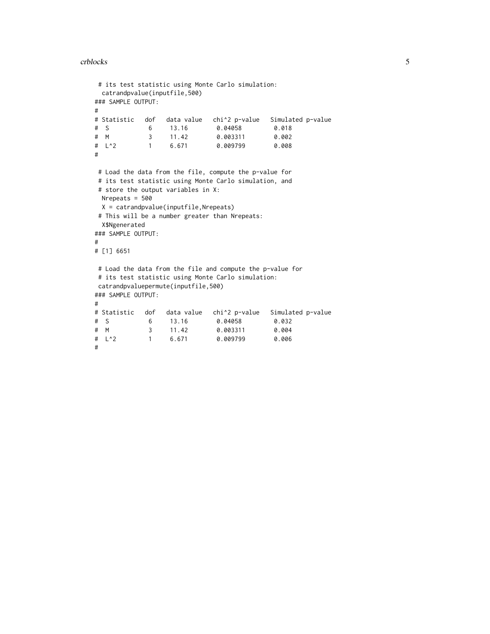#### crblocks 5

```
# its test statistic using Monte Carlo simulation:
 catrandpvalue(inputfile,500)
### SAMPLE OUTPUT:
#
# Statistic dof data value chi^2 p-value Simulated p-value
# S 6 13.16 0.04058 0.018
# M 3 11.42 0.003311 0.002
# L^2 1 6.671 0.009799 0.008
#
# Load the data from the file, compute the p-value for
# its test statistic using Monte Carlo simulation, and
# store the output variables in X:
 Nrepeats = 500
 X = catrandpvalue(inputfile,Nrepeats)
# This will be a number greater than Nrepeats:
 X$Ngenerated
### SAMPLE OUTPUT:
#
# [1] 6651
# Load the data from the file and compute the p-value for
# its test statistic using Monte Carlo simulation:
catrandpvaluepermute(inputfile,500)
### SAMPLE OUTPUT:
#
# Statistic dof data value chi^2 p-value Simulated p-value
# S 6 13.16 0.04058 0.032
# M 3 11.42 0.003311 0.004
                            0.009799
#
```